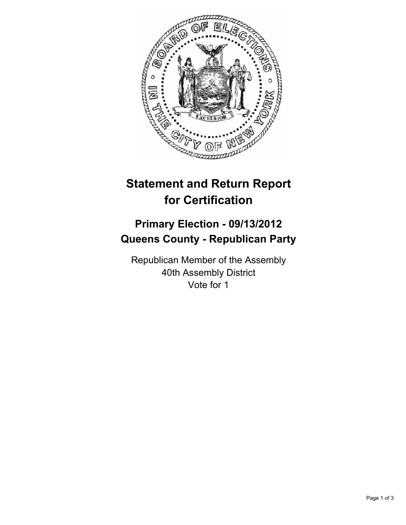

# **Statement and Return Report for Certification**

## **Primary Election - 09/13/2012 Queens County - Republican Party**

Republican Member of the Assembly 40th Assembly District Vote for 1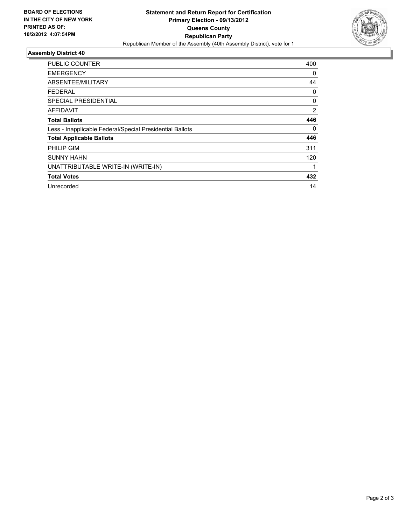

### **Assembly District 40**

| <b>PUBLIC COUNTER</b>                                    | 400 |
|----------------------------------------------------------|-----|
| <b>EMERGENCY</b>                                         | 0   |
| ABSENTEE/MILITARY                                        | 44  |
| FEDERAL                                                  | 0   |
| SPECIAL PRESIDENTIAL                                     | 0   |
| AFFIDAVIT                                                | 2   |
| <b>Total Ballots</b>                                     | 446 |
| Less - Inapplicable Federal/Special Presidential Ballots | 0   |
| <b>Total Applicable Ballots</b>                          | 446 |
| PHILIP GIM                                               | 311 |
| <b>SUNNY HAHN</b>                                        | 120 |
| UNATTRIBUTABLE WRITE-IN (WRITE-IN)                       |     |
| <b>Total Votes</b>                                       | 432 |
| Unrecorded                                               | 14  |